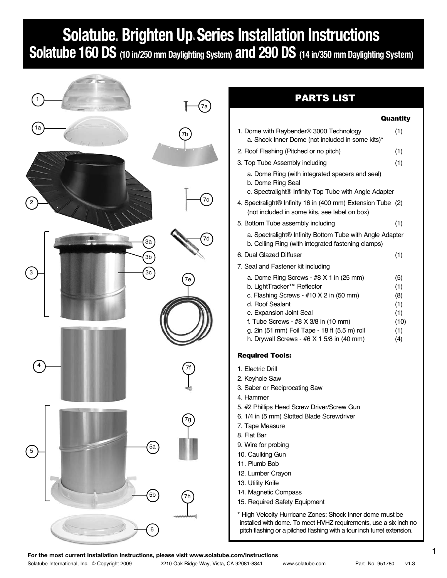# **Solatube® Brighten Up® Series Installation Instructions**

**Solatube 160 DS (10 in/250 mm Daylighting System) and 290 DS (14 in/350 mm Daylighting System)**



# PARTS LIST

### Quantity

| 1. Dome with Raybender <sup>®</sup> 3000 Technology<br>a. Shock Inner Dome (not included in some kits)*                                                                                                                                                                                                                                                                        | (1)                                                                                                               |
|--------------------------------------------------------------------------------------------------------------------------------------------------------------------------------------------------------------------------------------------------------------------------------------------------------------------------------------------------------------------------------|-------------------------------------------------------------------------------------------------------------------|
| 2. Roof Flashing (Pitched or no pitch)                                                                                                                                                                                                                                                                                                                                         | (1)                                                                                                               |
| 3. Top Tube Assembly including                                                                                                                                                                                                                                                                                                                                                 | (1)                                                                                                               |
| a. Dome Ring (with integrated spacers and seal)<br>b. Dome Ring Seal                                                                                                                                                                                                                                                                                                           |                                                                                                                   |
| 4. Spectralight® Infinity 16 in (400 mm) Extension Tube (2)<br>(not included in some kits, see label on box)                                                                                                                                                                                                                                                                   |                                                                                                                   |
| 5. Bottom Tube assembly including                                                                                                                                                                                                                                                                                                                                              | (1)                                                                                                               |
| b. Ceiling Ring (with integrated fastening clamps)                                                                                                                                                                                                                                                                                                                             |                                                                                                                   |
| 6. Dual Glazed Diffuser                                                                                                                                                                                                                                                                                                                                                        | (1)                                                                                                               |
| 7. Seal and Fastener kit including                                                                                                                                                                                                                                                                                                                                             |                                                                                                                   |
| a. Dome Ring Screws - #8 X 1 in (25 mm)<br>b. LightTracker™ Reflector<br>c. Flashing Screws - #10 X 2 in (50 mm)<br>d. Roof Sealant<br>e. Expansion Joint Seal<br>f. Tube Screws - $#8$ X 3/8 in (10 mm)<br>g. 2in (51 mm) Foil Tape - 18 ft (5.5 m) roll<br>h. Drywall Screws - #6 X 1 5/8 in (40 mm)                                                                         | (5)<br>(1)<br>(8)<br>(1)<br>(1)<br>(10)<br>(1)<br>(4)                                                             |
| <b>Required Tools:</b>                                                                                                                                                                                                                                                                                                                                                         |                                                                                                                   |
| 1. Electric Drill<br>2. Keyhole Saw<br>3. Saber or Reciprocating Saw<br>4. Hammer<br>5. #2 Phillips Head Screw Driver/Screw Gun<br>6. 1/4 in (5 mm) Slotted Blade Screwdriver<br>7. Tape Measure<br>8. Flat Bar<br>9. Wire for probing<br>10. Caulking Gun<br>11. Plumb Bob<br>12. Lumber Crayon<br>13. Utility Knife<br>14. Magnetic Compass<br>15. Required Safety Equipment |                                                                                                                   |
|                                                                                                                                                                                                                                                                                                                                                                                | c. Spectralight® Infinity Top Tube with Angle Adapter<br>a. Spectralight® Infinity Bottom Tube with Angle Adapter |

\* High Velocity Hurricane Zones: Shock Inner dome must be installed with dome. To meet HVHZ requirements, use a six inch no pitch flashing or a pitched flashing with a four inch turret extension.

1 **For the most current Installation Instructions, please visit www.solatube.com/instructions**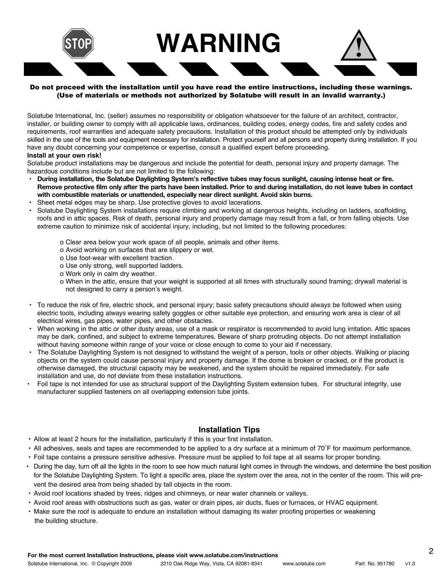

### Do not proceed with the installation until you have read the entire instructions, including these warnings. (Use of materials or methods not authorized by Solatube will result in an invalid warranty.)

Solatube International, Inc. (seller) assumes no responsibility or obligation whatsoever for the failure of an architect, contractor, installer, or building owner to comply with all applicable laws, ordinances, building codes, energy codes, fire and safety codes and requirements, roof warranties and adequate safety precautions. Installation of this product should be attempted only by individuals skilled in the use of the tools and equipment necessary for installation. Protect yourself and all persons and property during installation. If you have any doubt concerning your competence or expertise, consult a qualified expert before proceeding. **Install at your own risk!**

Solatube product installations may be dangerous and include the potential for death, personal injury and property damage. The hazardous conditions include but are not limited to the following:

- **During installation, the Solatube Daylighting System's reflective tubes may focus sunlight, causing intense heat or fire. Remove protective film only after the parts have been installed. Prior to and during installation, do not leave tubes in contact with combustible materials or unattended, especially near direct sunlight. Avoid skin burns.**
- Sheet metal edges may be sharp. Use protective gloves to avoid lacerations.
- Solatube Daylighting System installations require climbing and working at dangerous heights, including on ladders, scaffolding, roofs and in attic spaces. Risk of death, personal injury and property damage may result from a fall, or from falling objects. Use extreme caution to minimize risk of accidental injury, including, but not limited to the following procedures:
	- o Clear area below your work space of all people, animals and other items.
	- o Avoid working on surfaces that are slippery or wet.
	- o Use foot-wear with excellent traction.
	- o Use only strong, well supported ladders.
	- o Work only in calm dry weather.
	- o When in the attic, ensure that your weight is supported at all times with structurally sound framing; drywall material is not designed to carry a person's weight.
- To reduce the risk of fire, electric shock, and personal injury; basic safety precautions should always be followed when using electric tools, including always wearing safety goggles or other suitable eye protection, and ensuring work area is clear of all electrical wires, gas pipes, water pipes, and other obstacles.
- When working in the attic or other dusty areas, use of a mask or respirator is recommended to avoid lung irritation. Attic spaces may be dark, confined, and subject to extreme temperatures. Beware of sharp protruding objects. Do not attempt installation without having someone within range of your voice or close enough to come to your aid if necessary.
- The Solatube Daylighting System is not designed to withstand the weight of a person, tools or other objects. Walking or placing objects on the system could cause personal injury and property damage. If the dome is broken or cracked, or if the product is otherwise damaged, the structural capacity may be weakened, and the system should be repaired immediately. For safe installation and use, do not deviate from these installation instructions.
- Foil tape is not intended for use as structural support of the Daylighting System extension tubes. For structural integrity, use manufacturer supplied fasteners on all overlapping extension tube joints.

# **Installation Tips**

- Allow at least 2 hours for the installation, particularly if this is your first installation.
- All adhesives, seals and tapes are recommended to be applied to a dry surface at a minimum of 70˚F for maximum performance.
- Foil tape contains a pressure sensitive adhesive. Pressure must be applied to foil tape at all seams for proper bonding.
- During the day, turn off all the lights in the room to see how much natural light comes in through the windows, and determine the best position for the Solatube Daylighting System. To light a specific area, place the system over the area, not in the center of the room. This will prevent the desired area from being shaded by tall objects in the room.
- Avoid roof locations shaded by trees, ridges and chimneys, or near water channels or valleys.
- Avoid roof areas with obstructions such as gas, water or drain pipes, air ducts, flues or furnaces, or HVAC equipment.
- Make sure the roof is adequate to endure an installation without damaging its water proofing properties or weakening the building structure.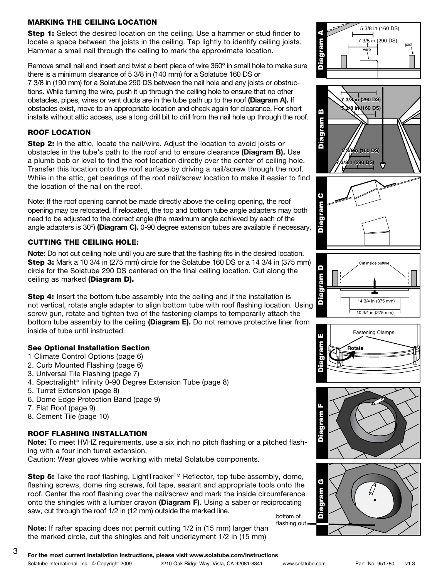# MARKING THE CEILING LOCATION

**Step 1:** Select the desired location on the ceiling. Use a hammer or stud finder to locate a space between the joists in the ceiling. Tap lightly to identify ceiling joists. Hammer a small nail through the ceiling to mark the approximate location.

Remove small nail and insert and twist a bent piece of wire 360º in small hole to make sure there is a minimum clearance of 5 3/8 in (140 mm) for a Solatube 160 DS or 7 3/8 in (190 mm) for a Solatube 290 DS between the nail hole and any joists or obstructions. While turning the wire, push it up through the ceiling hole to ensure that no other obstacles, pipes, wires or vent ducts are in the tube path up to the roof **(Diagram A).** If obstacles exist, move to an appropriate location and check again for clearance. For short installs without attic access, use a long drill bit to drill from the nail hole up through the roof.

# ROOF LOCATION

Step 2: In the attic, locate the nail/wire. Adjust the location to avoid joists or obstacles in the tube's path to the roof and to ensure clearance **(Diagram B).** Use a plumb bob or level to find the roof location directly over the center of ceiling hole. Transfer this location onto the roof surface by driving a nail/screw through the roof. While in the attic, get bearings of the roof nail/screw location to make it easier to find the location of the nail on the roof.

Note: If the roof opening cannot be made directly above the ceiling opening, the roof opening may be relocated. If relocated, the top and bottom tube angle adapters may both need to be adjusted to the correct angle (the maximum angle achieved by each of the angle adapters is 30º) **(Diagram C).** 0-90 degree extension tubes are available if necessary.

# CUTTING THE CEILING HOLE:

**Note:** Do not cut ceiling hole until you are sure that the flashing fits in the desired location. **Step 3:** Mark a 10 3/4 in (275 mm) circle for the Solatube 160 DS or a 14 3/4 in (375 mm) circle for the Solatube 290 DS centered on the final ceiling location. Cut along the ceiling as marked (Diagram D).

**Step 4:** Insert the bottom tube assembly into the ceiling and if the installation is not vertical, rotate angle adapter to align bottom tube with roof flashing location. Using screw gun, rotate and tighten two of the fastening clamps to temporarily attach the bottom tube assembly to the ceiling **(Diagram E).** Do not remove protective liner from inside of tube until instructed.

# See Optional Installation Section

- 1 Climate Control Options (page 6)
- 2. Curb Mounted Flashing (page 6)
- 3. Universal Tile Flashing (page 7)
- 4. Spectralight® Infinity 0-90 Degree Extension Tube (page 8)
- 5. Turret Extension (page 8)
- 6. Dome Edge Protection Band (page 9)
- 7. Flat Roof (page 9)
- 8. Cement Tile (page 10)

# ROOF FLASHING INSTALLATION

**Note:** To meet HVHZ requirements, use a six inch no pitch flashing or a pitched flashing with a four inch turret extension.

Caution: Wear gloves while working with metal Solatube components.

Step 5: Take the roof flashing, LightTracker™ Reflector, top tube assembly, dome, flashing screws, dome ring screws, foil tape, sealant and appropriate tools onto the roof. Center the roof flashing over the nail/screw and mark the inside circumference onto the shingles with a lumber crayon **(Diagram F).** Using a saber or reciprocating saw, cut through the roof 1/2 in (12 mm) outside the marked line. bottom of

**Note:** If rafter spacing does not permit cutting 1/2 in (15 mm) larger than the marked circle, cut the shingles and felt underlayment 1/2 in (15 mm)















flashing out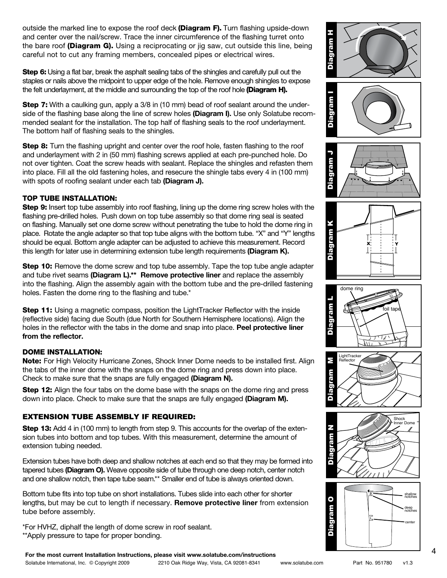outside the marked line to expose the roof deck (Diagram F). Turn flashing upside-down and center over the nail/screw. Trace the inner circumference of the flashing turret onto the bare roof (Diagram G). Using a reciprocating or jig saw, cut outside this line, being careful not to cut any framing members, concealed pipes or electrical wires.

Step 6: Using a flat bar, break the asphalt sealing tabs of the shingles and carefully pull out the staples or nails above the midpoint to upper edge of the hole. Remove enough shingles to expose the felt underlayment, at the middle and surrounding the top of the roof hole (Diagram H).

Step 7: With a caulking gun, apply a 3/8 in (10 mm) bead of roof sealant around the underside of the flashing base along the line of screw holes **(Diagram I).** Use only Solatube recommended sealant for the installation. The top half of flashing seals to the roof underlayment. The bottom half of flashing seals to the shingles.

Step 8: Turn the flashing upright and center over the roof hole, fasten flashing to the roof and underlayment with 2 in (50 mm) flashing screws applied at each pre-punched hole. Do not over tighten. Coat the screw heads with sealant. Replace the shingles and refasten them into place. Fill all the old fastening holes, and resecure the shingle tabs every 4 in (100 mm) with spots of roofing sealant under each tab **(Diagram J).**

# TOP TUBE INSTALLATION:

**Step 9:** Insert top tube assembly into roof flashing, lining up the dome ring screw holes with the flashing pre-drilled holes. Push down on top tube assembly so that dome ring seal is seated on flashing. Manually set one dome screw without penetrating the tube to hold the dome ring in place. Rotate the angle adapter so that top tube aligns with the bottom tube. "X" and "Y" lengths should be equal. Bottom angle adapter can be adjusted to achieve this measurement. Record this length for later use in determining extension tube length requirements **(Diagram K).**

**Step 10:** Remove the dome screw and top tube assembly. Tape the top tube angle adapter and tube rivet seams **(Diagram L).\*\* Remove protective liner** and replace the assembly into the flashing. Align the assembly again with the bottom tube and the pre-drilled fastening holes. Fasten the dome ring to the flashing and tube.\*

**Step 11:** Using a magnetic compass, position the LightTracker Reflector with the inside (reflective side) facing due South (due North for Southern Hemisphere locations). Align the holes in the reflector with the tabs in the dome and snap into place. **Peel protective liner from the reflector.**

# DOME INSTALLATION:

Note: For High Velocity Hurricane Zones, Shock Inner Dome needs to be installed first. Align the tabs of the inner dome with the snaps on the dome ring and press down into place. Check to make sure that the snaps are fully engaged **(Diagram N).**

**Step 12:** Align the four tabs on the dome base with the snaps on the dome ring and press down into place. Check to make sure that the snaps are fully engaged **(Diagram M).**

# EXTENSION TUBE ASSEMBLY IF REQUIRED:

**Step 13:** Add 4 in (100 mm) to length from step 9. This accounts for the overlap of the extension tubes into bottom and top tubes. With this measurement, determine the amount of extension tubing needed.

Extension tubes have both deep and shallow notches at each end so that they may be formed into tapered tubes **(Diagram O).** Weave opposite side of tube through one deep notch, center notch and one shallow notch, then tape tube seam.\*\* Smaller end of tube is always oriented down.

Bottom tube fits into top tube on short installations. Tubes slide into each other for shorter lengths, but may be cut to length if necessary. **Remove protective liner** from extension tube before assembly.

\*For HVHZ, diphalf the length of dome screw in roof sealant. \*\*Apply pressure to tape for proper bonding.

**For the most current Installation Instructions, please visit www.solatube.com/instructions For the most current Installation Instructions, please visit www.solatube.com/instructions**

















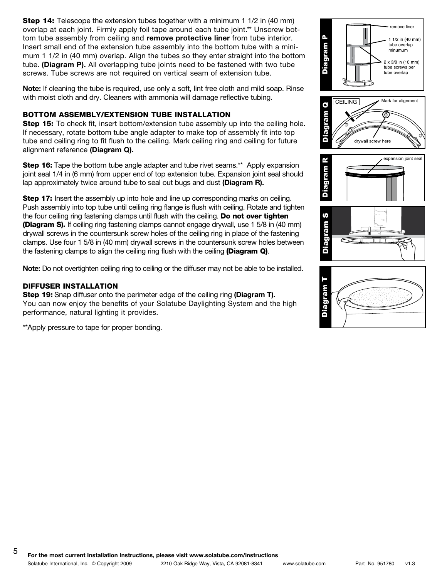**Step 14:** Telescope the extension tubes together with a minimum 1 1/2 in (40 mm) overlap at each joint. Firmly apply foil tape around each tube joint.\*\* Unscrew bottom tube assembly from ceiling and **remove protective liner** from tube interior. Insert small end of the extension tube assembly into the bottom tube with a minimum 1 1/2 in (40 mm) overlap. Align the tubes so they enter straight into the bottom tube. **(Diagram P).** All overlapping tube joints need to be fastened with two tube screws. Tube screws are not required on vertical seam of extension tube.

**Note:** If cleaning the tube is required, use only a soft, lint free cloth and mild soap. Rinse with moist cloth and dry. Cleaners with ammonia will damage reflective tubing.

# BOTTOM ASSEMBLY/EXTENSION TUBE INSTALLATION

**Step 15:** To check fit, insert bottom/extension tube assembly up into the ceiling hole. If necessary, rotate bottom tube angle adapter to make top of assembly fit into top tube and ceiling ring to fit flush to the ceiling. Mark ceiling ring and ceiling for future alignment reference **(Diagram Q).**

**Step 16:** Tape the bottom tube angle adapter and tube rivet seams.\*\* Apply expansion joint seal 1/4 in (6 mm) from upper end of top extension tube. Expansion joint seal should lap approximately twice around tube to seal out bugs and dust **(Diagram R).**

**Step 17:** Insert the assembly up into hole and line up corresponding marks on ceiling. Push assembly into top tube until ceiling ring flange is flush with ceiling. Rotate and tighten the four ceiling ring fastening clamps until flush with the ceiling. Do not over tighten (Diagram S). If ceiling ring fastening clamps cannot engage drywall, use 1 5/8 in (40 mm) drywall screws in the countersunk screw holes of the ceiling ring in place of the fastening clamps. Use four 1 5/8 in (40 mm) drywall screws in the countersunk screw holes between the fastening clamps to align the ceiling ring flush with the ceiling (Diagram Q).

**Note:** Do not overtighten ceiling ring to ceiling or the diffuser may not be able to be installed.

### DIFFUSER INSTALLATION

Step 19: Snap diffuser onto the perimeter edge of the ceiling ring **(Diagram T).**  You can now enjoy the benefits of your Solatube Daylighting System and the high performance, natural lighting it provides.

\*\*Apply pressure to tape for proper bonding.









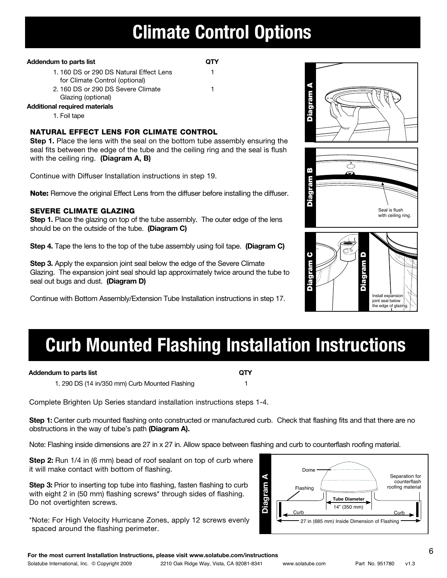# **Climate Control Options**

### Addendum to parts list **QTY**

- 1. 160 DS or 290 DS Natural Effect Lens 1 for Climate Control (optional)
	-
- 2. 160 DS or 290 DS Severe Climate 1
- Glazing (optional)
- **Additional required materials**
	- 1. Foil tape

# natural effect Lens for climate control

**Step 1.** Place the lens with the seal on the bottom tube assembly ensuring the seal fits between the edge of the tube and the ceiling ring and the seal is flush with the ceiling ring. **(Diagram A, B)**

Continue with Diffuser Installation instructions in step 19.

Note: Remove the original Effect Lens from the diffuser before installing the diffuser.

# severe climate glazing

**Step 1.** Place the glazing on top of the tube assembly. The outer edge of the lens should be on the outside of the tube. **(Diagram C)**

**Step 4.** Tape the lens to the top of the tube assembly using foil tape. **(Diagram C)** 

**Step 3.** Apply the expansion joint seal below the edge of the Severe Climate Glazing. The expansion joint seal should lap approximately twice around the tube to seal out bugs and dust. **(Diagram D)**

Continue with Bottom Assembly/Extension Tube Installation instructions in step 17.



Diagram A





# **Curb Mounted Flashing Installation Instructions**

# **Addendum to parts list QTY**

1. 290 DS (14 in/350 mm) Curb Mounted Flashing 1

Complete Brighten Up Series standard installation instructions steps 1-4.

**Step 1:** Center curb mounted flashing onto constructed or manufactured curb. Check that flashing fits and that there are no obstructions in the way of tube's path **(Diagram A).**

Note: Flashing inside dimensions are 27 in x 27 in. Allow space between flashing and curb to counterflash roofing material.

**Step 2:** Run 1/4 in (6 mm) bead of roof sealant on top of curb where it will make contact with bottom of flashing.

**Step 3:** Prior to inserting top tube into flashing, fasten flashing to curb with eight 2 in (50 mm) flashing screws\* through sides of flashing. Do not overtighten screws.

\*Note: For High Velocity Hurricane Zones, apply 12 screws evenly spaced around the flashing perimeter.

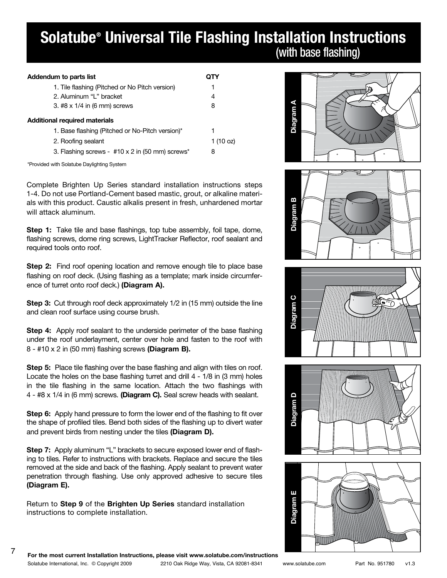# **Solatube® Universal Tile Flashing Installation Instructions** (with base flashing)

| Addendum to parts list                          |                     |
|-------------------------------------------------|---------------------|
| 1. Tile flashing (Pitched or No Pitch version)  | 1                   |
| 2. Aluminum "L" bracket                         | 4                   |
| 3. #8 x 1/4 in (6 mm) screws                    | 8                   |
| Additional required materials                   |                     |
| 1. Base flashing (Pitched or No-Pitch version)* | 1                   |
| 2. Roofing sealant                              | 1 $(10 \text{ oz})$ |
| 3. Flashing screws - #10 x 2 in (50 mm) screws* | 8                   |
|                                                 |                     |

\*Provided with Solatube Daylighting System

Complete Brighten Up Series standard installation instructions steps 1-4. Do not use Portland-Cement based mastic, grout, or alkaline materials with this product. Caustic alkalis present in fresh, unhardened mortar will attack aluminum.

**Step 1:** Take tile and base flashings, top tube assembly, foil tape, dome, flashing screws, dome ring screws, LightTracker Reflector, roof sealant and required tools onto roof.

**Step 2:** Find roof opening location and remove enough tile to place base flashing on roof deck. (Using flashing as a template; mark inside circumference of turret onto roof deck.) **(Diagram A).**

**Step 3:** Cut through roof deck approximately 1/2 in (15 mm) outside the line and clean roof surface using course brush.

**Step 4:** Apply roof sealant to the underside perimeter of the base flashing under the roof underlayment, center over hole and fasten to the roof with 8 - #10 x 2 in (50 mm) flashing screws **(Diagram B).** 

**Step 5:** Place tile flashing over the base flashing and align with tiles on roof. Locate the holes on the base flashing turret and drill 4 - 1/8 in (3 mm) holes in the tile flashing in the same location. Attach the two flashings with 4 - #8 x 1/4 in (6 mm) screws. **(Diagram C).** Seal screw heads with sealant.

**Step 6:** Apply hand pressure to form the lower end of the flashing to fit over the shape of profiled tiles. Bend both sides of the flashing up to divert water and prevent birds from nesting under the tiles **(Diagram D).**

**Step 7:** Apply aluminum "L" brackets to secure exposed lower end of flashing to tiles. Refer to instructions with brackets. Replace and secure the tiles removed at the side and back of the flashing. Apply sealant to prevent water penetration through flashing. Use only approved adhesive to secure tiles **(Diagram E).** 

Return to **Step 9** of the **Brighten Up Series** standard installation instructions to complete installation.











7 **For the most current Installation Instructions, please visit www.solatube.com/instructions**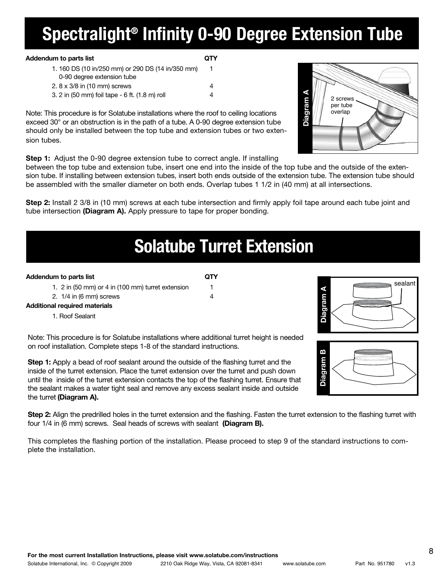### **For the most current Installation Instructions, please visit www.solatube.com/instructions** Solatube International, Inc. © Copyright 2009 2210 Oak Ridge Way, Vista, CA 92081-8341 www.solatube.com Part No. 951780 v1.3

8

# **Spectralight® Infinity 0-90 Degree Extension Tube**

# Addendum to parts list **QTY**

| 1.160 DS (10 in/250 mm) or 290 DS (14 in/350 mm) | 1 |
|--------------------------------------------------|---|
| 0-90 degree extension tube                       |   |
| 2. 8 x 3/8 in (10 mm) screws                     | 4 |
| 3. 2 in (50 mm) foil tape - 6 ft. (1.8 m) roll   | 4 |

Note: This procedure is for Solatube installations where the roof to ceiling locations exceed 30° or an obstruction is in the path of a tube. A 0-90 degree extension tube should only be installed between the top tube and extension tubes or two extension tubes.

**Step 1:** Adjust the 0-90 degree extension tube to correct angle. If installing

between the top tube and extension tube, insert one end into the inside of the top tube and the outside of the extension tube. If installing between extension tubes, insert both ends outside of the extension tube. The extension tube should be assembled with the smaller diameter on both ends. Overlap tubes 1 1/2 in (40 mm) at all intersections.

**Step 2:** Install 2 3/8 in (10 mm) screws at each tube intersection and firmly apply foil tape around each tube joint and tube intersection **(Diagram A).** Apply pressure to tape for proper bonding.

# **Solatube Turret Extension**

# **Addendum to parts list QTY**

|  |  | 1. 2 in (50 mm) or 4 in (100 mm) turret extension |  |
|--|--|---------------------------------------------------|--|

|                           |  | . . <i>. .</i> . <i>. .</i> . |  |
|---------------------------|--|-------------------------------|--|
| 2. $1/4$ in (6 mm) screws |  |                               |  |

**Additional required materials**

1. Roof Sealant

Note: This procedure is for Solatube installations where additional turret height is needed on roof installation. Complete steps 1-8 of the standard instructions.

**Step 1:** Apply a bead of roof sealant around the outside of the flashing turret and the inside of the turret extension. Place the turret extension over the turret and push down until the inside of the turret extension contacts the top of the flashing turret. Ensure that the sealant makes a water tight seal and remove any excess sealant inside and outside the turret **(Diagram A).** 

**Step 2:** Align the predrilled holes in the turret extension and the flashing. Fasten the turret extension to the flashing turret with four 1/4 in (6 mm) screws. Seal heads of screws with sealant **(Diagram B).**

This completes the flashing portion of the installation. Please proceed to step 9 of the standard instructions to complete the installation.





| ⋖<br>Diagram<br>2 screws<br>per tube<br>overlap |  |
|-------------------------------------------------|--|
|                                                 |  |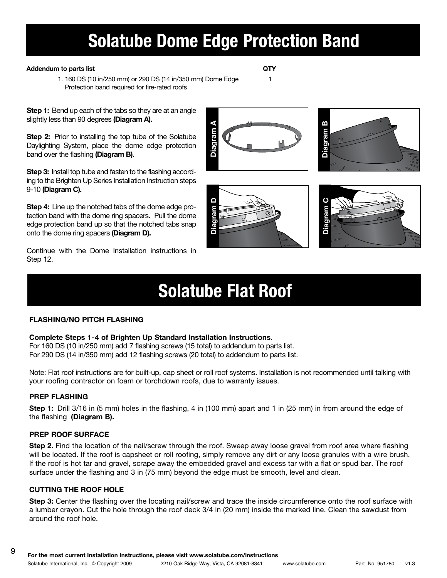# **Solatube Dome Edge Protection Band**

### Addendum to parts list **QTY**

1. 160 DS (10 in/250 mm) or 290 DS (14 in/350 mm) Dome Edge 1 Protection band required for fire-rated roofs

**Step 1:** Bend up each of the tabs so they are at an angle slightly less than 90 degrees **(Diagram A).**

**Step 2:** Prior to installing the top tube of the Solatube Daylighting System, place the dome edge protection band over the flashing **(Diagram B).**

**Step 3:** Install top tube and fasten to the flashing according to the Brighten Up Series Installation Instruction steps 9-10 **(Diagram C).**

**Step 4:** Line up the notched tabs of the dome edge protection band with the dome ring spacers. Pull the dome edge protection band up so that the notched tabs snap onto the dome ring spacers **(Diagram D).**

Continue with the Dome Installation instructions in Step 12.

# **Solatube Flat Roof**

**Diagram D**

# **FLASHING/NO PITCH FLASHING**

# **Complete Steps 1-4 of Brighten Up Standard Installation Instructions.**

For 160 DS (10 in/250 mm) add 7 flashing screws (15 total) to addendum to parts list. For 290 DS (14 in/350 mm) add 12 flashing screws (20 total) to addendum to parts list.

Note: Flat roof instructions are for built-up, cap sheet or roll roof systems. Installation is not recommended until talking with your roofing contractor on foam or torchdown roofs, due to warranty issues.

# **PREP FLASHING**

**Step 1:** Drill 3/16 in (5 mm) holes in the flashing, 4 in (100 mm) apart and 1 in (25 mm) in from around the edge of the flashing **(Diagram B).**

# **PREP ROOF SURFACE**

**Step 2.** Find the location of the nail/screw through the roof. Sweep away loose gravel from roof area where flashing will be located. If the roof is capsheet or roll roofing, simply remove any dirt or any loose granules with a wire brush. If the roof is hot tar and gravel, scrape away the embedded gravel and excess tar with a flat or spud bar. The roof surface under the flashing and 3 in (75 mm) beyond the edge must be smooth, level and clean.

# **CUTTING THE ROOF HOLE**

**Step 3:** Center the flashing over the locating nail/screw and trace the inside circumference onto the roof surface with a lumber crayon. Cut the hole through the roof deck 3/4 in (20 mm) inside the marked line. Clean the sawdust from around the roof hole.





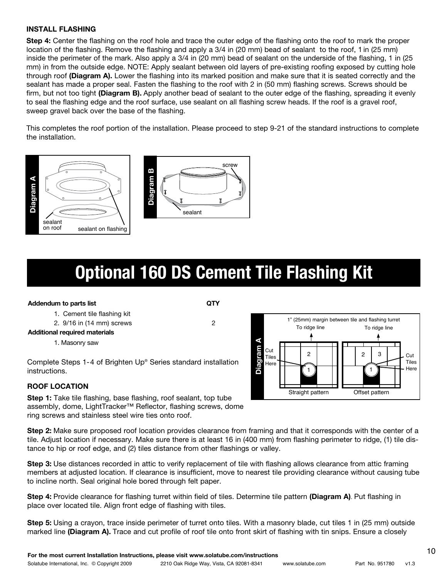### **INSTALL FLASHING**

**Step 4:** Center the flashing on the roof hole and trace the outer edge of the flashing onto the roof to mark the proper location of the flashing. Remove the flashing and apply a 3/4 in (20 mm) bead of sealant to the roof, 1 in (25 mm) inside the perimeter of the mark. Also apply a 3/4 in (20 mm) bead of sealant on the underside of the flashing, 1 in (25 mm) in from the outside edge. NOTE: Apply sealant between old layers of pre-existing roofing exposed by cutting hole through roof **(Diagram A).** Lower the flashing into its marked position and make sure that it is seated correctly and the sealant has made a proper seal. Fasten the flashing to the roof with 2 in (50 mm) flashing screws. Screws should be firm, but not too tight **(Diagram B).** Apply another bead of sealant to the outer edge of the flashing, spreading it evenly to seal the flashing edge and the roof surface, use sealant on all flashing screw heads. If the roof is a gravel roof, sweep gravel back over the base of the flashing.

This completes the roof portion of the installation. Please proceed to step 9-21 of the standard instructions to complete the installation.



# **Optional 160 DS Cement Tile Flashing Kit**

### **Addendum to parts list QTY**

- 1. Cement tile flashing kit
- 2. 9/16 in (14 mm) screws 2

## **Additional required materials**

1. Masonry saw

Complete Steps 1-4 of Brighten Up® Series standard installation instructions.

# **ROOF LOCATION**

**Step 1:** Take tile flashing, base flashing, roof sealant, top tube assembly, dome, LightTracker™ Reflector, flashing screws, dome ring screws and stainless steel wire ties onto roof.

**Step 2:** Make sure proposed roof location provides clearance from framing and that it corresponds with the center of a tile. Adjust location if necessary. Make sure there is at least 16 in (400 mm) from flashing perimeter to ridge, (1) tile distance to hip or roof edge, and (2) tiles distance from other flashings or valley.

**Step 3:** Use distances recorded in attic to verify replacement of tile with flashing allows clearance from attic framing members at adjusted location. If clearance is insufficient, move to nearest tile providing clearance without causing tube to incline north. Seal original hole bored through felt paper.

**Step 4:** Provide clearance for flashing turret within field of tiles. Determine tile pattern **(Diagram A)**. Put flashing in place over located tile. Align front edge of flashing with tiles.

**Step 5:** Using a crayon, trace inside perimeter of turret onto tiles. With a masonry blade, cut tiles 1 in (25 mm) outside marked line **(Diagram A).** Trace and cut profile of roof tile onto front skirt of flashing with tin snips. Ensure a closely